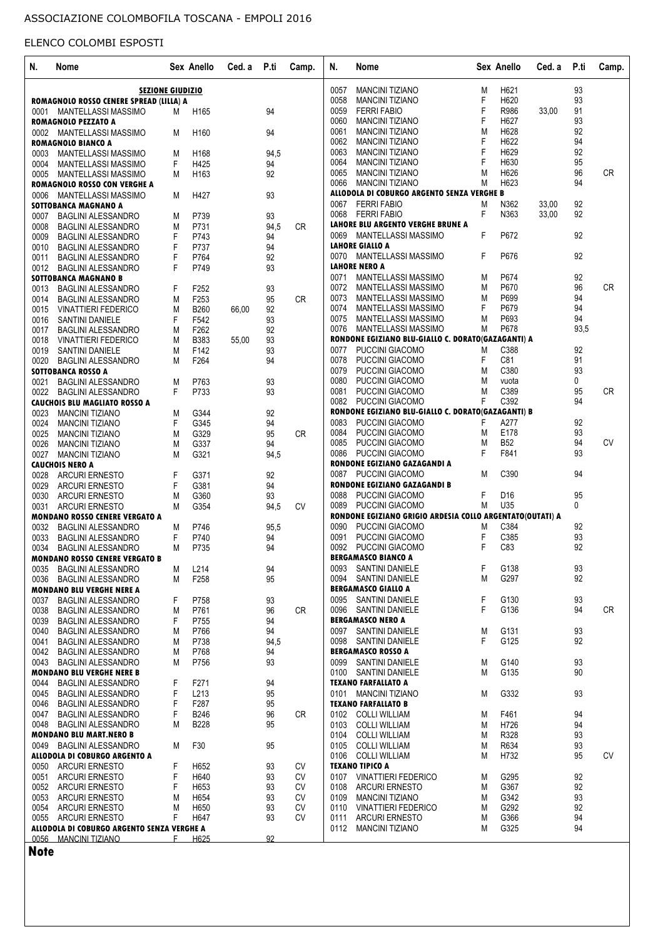| N.   | Nome                                                              |                         | Sex Anello       | Ced. a | P.ti | Camp.     | N.<br>Nome                                                |        | Sex Anello      | Ced. a | P.ti     | Camp.     |
|------|-------------------------------------------------------------------|-------------------------|------------------|--------|------|-----------|-----------------------------------------------------------|--------|-----------------|--------|----------|-----------|
|      |                                                                   | <b>SEZIONE GIUDIZIO</b> |                  |        |      |           | <b>MANCINI TIZIANO</b><br>0057                            | M      | H621            |        | 93       |           |
|      | ROMAGNOLO ROSSO CENERE SPREAD (LILLA) A                           |                         |                  |        |      |           | 0058<br><b>MANCINI TIZIANO</b>                            | F      | H620            |        | 93       |           |
| 0001 | <b>MANTELLASSI MASSIMO</b>                                        | M                       | H165             |        | 94   |           | 0059<br><b>FERRI FABIO</b>                                | F      | R986            | 33,00  | 91       |           |
|      | <b>ROMAGNOLO PEZZATO A</b>                                        |                         |                  |        |      |           | 0060<br><b>MANCINI TIZIANO</b>                            | F      | H627            |        | 93       |           |
|      | 0002 MANTELLASSI MASSIMO                                          | M                       | H <sub>160</sub> |        | 94   |           | 0061<br><b>MANCINI TIZIANO</b>                            | M      | H628            |        | 92       |           |
|      | <b>ROMAGNOLO BIANCO A</b>                                         |                         |                  |        |      |           | 0062<br><b>MANCINI TIZIANO</b>                            | F      | H622            |        | 94       |           |
|      |                                                                   |                         | H168             |        |      |           | 0063<br><b>MANCINI TIZIANO</b>                            | F      | H629            |        | 92       |           |
| 0003 | <b>MANTELLASSI MASSIMO</b>                                        | M                       |                  |        | 94,5 |           | 0064<br><b>MANCINI TIZIANO</b>                            | F      | H630            |        | 95       |           |
| 0004 | MANTELLASSI MASSIMO                                               | F                       | H425             |        | 94   |           |                                                           |        |                 |        |          |           |
| 0005 | MANTELLASSI MASSIMO                                               | M                       | H <sub>163</sub> |        | 92   |           | 0065<br><b>MANCINI TIZIANO</b>                            | M      | H626            |        | 96       | CR        |
|      | ROMAGNOLO ROSSO CON VERGHE A                                      |                         |                  |        |      |           | 0066<br><b>MANCINI TIZIANO</b>                            | M      | H623            |        | 94       |           |
| 0006 | MANTELLASSI MASSIMO                                               | M                       | H427             |        | 93   |           | ALLODOLA DI COBURGO ARGENTO SENZA VERGHE B                |        |                 |        |          |           |
|      | SOTTOBANCA MAGNANO A                                              |                         |                  |        |      |           | <b>FERRI FABIO</b><br>0067                                | M      | N362            | 33,00  | 92       |           |
| 0007 | <b>BAGLINI ALESSANDRO</b>                                         | M                       | P739             |        | 93   |           | <b>FERRI FABIO</b><br>0068                                | F.     | N363            | 33,00  | 92       |           |
| 0008 | <b>BAGLINI ALESSANDRO</b>                                         | M                       | P731             |        | 94.5 | CR.       | LAHORE BLU ARGENTO VERGHE BRUNE A                         |        |                 |        |          |           |
| 0009 |                                                                   | F                       | P743             |        | 94   |           | 0069 MANTELLASSI MASSIMO                                  | F      | P672            |        | 92       |           |
|      | <b>BAGLINI ALESSANDRO</b>                                         |                         |                  |        |      |           | <b>LAHORE GIALLO A</b>                                    |        |                 |        |          |           |
| 0010 | <b>BAGLINI ALESSANDRO</b>                                         | F                       | P737             |        | 94   |           |                                                           |        |                 |        |          |           |
| 0011 | <b>BAGLINI ALESSANDRO</b>                                         | F                       | P764             |        | 92   |           | 0070 MANTELLASSI MASSIMO                                  | F.     | P676            |        | 92       |           |
|      | 0012 BAGLINI ALESSANDRO                                           | F                       | P749             |        | 93   |           | <b>LAHORE NERO A</b>                                      |        |                 |        |          |           |
|      | SOTTOBANCA MAGNANO B                                              |                         |                  |        |      |           | MANTELLASSI MASSIMO<br>0071                               | M      | P674            |        | 92       |           |
| 0013 | BAGLINI ALESSANDRO                                                | F                       | F252             |        | 93   |           | 0072<br><b>MANTELLASSI MASSIMO</b>                        | M      | P670            |        | 96       | <b>CR</b> |
| 0014 | <b>BAGLINI ALESSANDRO</b>                                         | M                       | F253             |        | 95   | <b>CR</b> | 0073<br>MANTELLASSI MASSIMO                               | M      | P699            |        | 94       |           |
| 0015 | <b>VINATTIERI FEDERICO</b>                                        | M                       | <b>B260</b>      | 66,00  | 92   |           | 0074<br>MANTELLASSI MASSIMO                               | F      | P679            |        | 94       |           |
|      |                                                                   |                         |                  |        |      |           | 0075<br>MANTELLASSI MASSIMO                               | M      | P693            |        | 94       |           |
|      | 0016 SANTINI DANIELE                                              | F                       | F542             |        | 93   |           |                                                           |        | P678            |        | 93,5     |           |
| 0017 | <b>BAGLINI ALESSANDRO</b>                                         | M                       | F262             |        | 92   |           | 0076<br><b>MANTELLASSI MASSIMO</b>                        | M      |                 |        |          |           |
|      | 0018 VINATTIERI FEDERICO                                          | M                       | <b>B383</b>      | 55,00  | 93   |           | RONDONE EGIZIANO BLU-GIALLO C. DORATO(GAZAGANTI) A        |        |                 |        |          |           |
| 0019 | <b>SANTINI DANIELE</b>                                            | М                       | F142             |        | 93   |           | 0077<br>PUCCINI GIACOMO                                   | M      | C388            |        | 92       |           |
| 0020 | <b>BAGLINI ALESSANDRO</b>                                         | M                       | F264             |        | 94   |           | 0078<br>PUCCINI GIACOMO                                   | F      | C81             |        | 91       |           |
|      | SOTTOBANCA ROSSO A                                                |                         |                  |        |      |           | 0079<br>PUCCINI GIACOMO                                   | M      | C380            |        | 93       |           |
| 0021 | <b>BAGLINI ALESSANDRO</b>                                         | M                       | P763             |        | 93   |           | 0080<br>PUCCINI GIACOMO                                   | M      | vuota           |        | 0        |           |
|      |                                                                   |                         |                  |        |      |           | 0081<br>PUCCINI GIACOMO                                   | M      | C389            |        | 95       | <b>CR</b> |
|      | 0022 BAGLINI ALESSANDRO                                           | F.                      | P733             |        | 93   |           |                                                           |        |                 |        |          |           |
|      | <b>CAUCHOIS BLU MAGLIATO ROSSO A</b>                              |                         |                  |        |      |           | 0082<br>PUCCINI GIACOMO                                   | F.     | C392            |        | 94       |           |
| 0023 | <b>MANCINI TIZIANO</b>                                            | M                       | G344             |        | 92   |           | RONDONE EGIZIANO BLU-GIALLO C. DORATO(GAZAGANTI) B        |        |                 |        |          |           |
| 0024 | <b>MANCINI TIZIANO</b>                                            | F                       | G345             |        | 94   |           | PUCCINI GIACOMO<br>0083                                   | F      | A277            |        | 92       |           |
| 0025 | <b>MANCINI TIZIANO</b>                                            | M                       | G329             |        | 95   | CR.       | 0084<br>PUCCINI GIACOMO                                   | M      | E178            |        | 93       |           |
| 0026 | <b>MANCINI TIZIANO</b>                                            | M                       | G337             |        | 94   |           | 0085<br>PUCCINI GIACOMO                                   | M      | <b>B52</b>      |        | 94       | <b>CV</b> |
| 0027 | <b>MANCINI TIZIANO</b>                                            | M                       | G321             |        | 94,5 |           | 0086<br>PUCCINI GIACOMO                                   | F      | F841            |        | 93       |           |
|      |                                                                   |                         |                  |        |      |           |                                                           |        |                 |        |          |           |
|      | <b>CAUCHOIS NERO A</b>                                            |                         |                  |        |      |           | RONDONE EGIZIANO GAZAGANDI A                              |        |                 |        |          |           |
| 0028 | <b>ARCURI ERNESTO</b>                                             | F                       | G371             |        | 92   |           | 0087<br><b>PUCCINI GIACOMO</b>                            | M      | C390            |        | 94       |           |
| 0029 | <b>ARCURI ERNESTO</b>                                             | F                       | G381             |        | 94   |           | RONDONE EGIZIANO GAZAGANDI B                              |        |                 |        |          |           |
| 0030 | <b>ARCURI ERNESTO</b>                                             | M                       | G360             |        | 93   |           | PUCCINI GIACOMO<br>0088                                   | F      | D <sub>16</sub> |        | 95       |           |
| 0031 | <b>ARCURI ERNESTO</b>                                             | M                       | G354             |        | 94,5 | <b>CV</b> | 0089<br>PUCCINI GIACOMO                                   | M      | U35             |        | 0        |           |
|      | <b>MONDANO ROSSO CENERE VERGATO A</b>                             |                         |                  |        |      |           | RONDONE EGIZIANO GRIGIO ARDESIA COLLO ARGENTATO(OUTATI) A |        |                 |        |          |           |
| 0032 | <b>BAGLINI ALESSANDRO</b>                                         | M                       | P746             |        | 95,5 |           | PUCCINI GIACOMO<br>0090                                   | M      | C384            |        | 92       |           |
| 0033 | <b>BAGLINI ALESSANDRO</b>                                         | F                       | P740             |        | 94   |           | 0091<br>PUCCINI GIACOMO                                   | F      | C385            |        | 93       |           |
|      |                                                                   |                         |                  |        |      |           | <b>PUCCINI GIACOMO</b>                                    | F      | C83             |        | 92       |           |
| 0034 | <b>BAGLINI ALESSANDRO</b>                                         | M                       | P735             |        | 94   |           | 0092                                                      |        |                 |        |          |           |
|      | <b>MONDANO ROSSO CENERE VERGATO B</b>                             |                         |                  |        |      |           | <b>BERGAMASCO BIANCO A</b>                                |        |                 |        |          |           |
| 0035 | <b>BAGLINI ALESSANDRO</b>                                         | M                       | L214             |        | 94   |           | 0093 SANTINI DANIELE                                      | F      | G138            |        | 93       |           |
|      | 0036 BAGLINI ALESSANDRO                                           | м                       | F258             |        | 95   |           | <b>SANTINI DANIELE</b><br>0094                            | M      | G297            |        | 92       |           |
|      | <b>MONDANO BLU VERGHE NERE A</b>                                  |                         |                  |        |      |           | <b>BERGAMASCO GIALLO A</b>                                |        |                 |        |          |           |
| 0037 | <b>BAGLINI ALESSANDRO</b>                                         | F                       | P758             |        | 93   |           | 0095 SANTINI DANIELE                                      | F      | G130            |        | 93       |           |
| 0038 | <b>BAGLINI ALESSANDRO</b>                                         | M                       | P761             |        | 96   | <b>CR</b> | 0096 SANTINI DANIELE                                      | F.     | G136            |        | 94       | <b>CR</b> |
|      | <b>BAGLINI ALESSANDRO</b>                                         |                         | P755             |        | 94   |           | <b>BERGAMASCO NERO A</b>                                  |        |                 |        |          |           |
| 0039 |                                                                   | F                       |                  |        |      |           |                                                           |        |                 |        |          |           |
| 0040 | <b>BAGLINI ALESSANDRO</b>                                         | M                       | P766             |        | 94   |           | 0097 SANTINI DANIELE                                      | M      | G131            |        | 93       |           |
| 0041 | <b>BAGLINI ALESSANDRO</b>                                         | M                       | P738             |        | 94,5 |           | 0098 SANTINI DANIELE                                      | F.     | G125            |        | 92       |           |
| 0042 | <b>BAGLINI ALESSANDRO</b>                                         | M                       | P768             |        | 94   |           | <b>BERGAMASCO ROSSO A</b>                                 |        |                 |        |          |           |
|      | 0043 BAGLINI ALESSANDRO                                           | M                       | P756             |        | 93   |           | <b>SANTINI DANIELE</b><br>0099                            | M      | G140            |        | 93       |           |
|      |                                                                   |                         |                  |        |      |           | 0100 SANTINI DANIELE                                      | М      | G135            |        | 90       |           |
|      |                                                                   |                         | F271             |        | 94   |           | <b>TEXANO FARFALLATO A</b>                                |        |                 |        |          |           |
|      | <b>MONDANO BLU VERGHE NERE B</b>                                  |                         |                  |        |      |           |                                                           |        |                 |        |          |           |
|      | 0044 BAGLINI ALESSANDRO                                           | F                       |                  |        | 95   |           | 0101 MANCINI TIZIANO                                      | M      | G332            |        | 93       |           |
|      | 0045 BAGLINI ALESSANDRO                                           | F                       | L213             |        |      |           | <b>TEXANO FARFALLATO B</b>                                |        |                 |        |          |           |
|      | 0046 BAGLINI ALESSANDRO                                           | F                       | F287             |        | 95   |           |                                                           |        |                 |        |          |           |
|      | 0047 BAGLINI ALESSANDRO                                           | F                       | B246             |        | 96   | <b>CR</b> | 0102 COLLI WILLIAM                                        | M      | F461            |        | 94       |           |
|      | 0048 BAGLINI ALESSANDRO                                           | М                       | B228             |        | 95   |           | 0103 COLLI WILLIAM                                        | M      | H726            |        | 94       |           |
|      |                                                                   |                         |                  |        |      |           | 0104                                                      | М      |                 |        |          |           |
|      | <b>MONDANO BLU MART.NERO B</b>                                    |                         |                  |        |      |           | COLLI WILLIAM                                             |        | R328            |        | 93       |           |
| 0049 | <b>BAGLINI ALESSANDRO</b>                                         | M                       | F30              |        | 95   |           | 0105<br>COLLI WILLIAM                                     | M      | R634            |        | 93       |           |
|      | ALLODOLA DI COBURGO ARGENTO A                                     |                         |                  |        |      |           | 0106 COLLI WILLIAM                                        | M      | H732            |        | 95       |           |
|      | 0050 ARCURI ERNESTO                                               | F                       | H652             |        | 93   | CV        | <b>TEXANO TIPICO A</b>                                    |        |                 |        |          |           |
| 0051 | <b>ARCURI ERNESTO</b>                                             | F                       | H640             |        | 93   | <b>CV</b> | <b>VINATTIERI FEDERICO</b><br>0107                        | M      | G295            |        | 92       |           |
|      | 0052 ARCURI ERNESTO                                               | F                       | H653             |        | 93   | <b>CV</b> | 0108 ARCURI ERNESTO                                       | M      | G367            |        | 92       |           |
|      |                                                                   | M                       | H654             |        |      |           | 0109                                                      | M      | G342            |        |          | <b>CV</b> |
|      | 0053 ARCURI ERNESTO                                               |                         |                  |        | 93   | CV        | <b>MANCINI TIZIANO</b>                                    |        |                 |        | 93       |           |
|      | 0054 ARCURI ERNESTO                                               | М                       | H650             |        | 93   | CV        | 0110 VINATTIERI FEDERICO                                  | M      | G292            |        | 92       |           |
|      | 0055 ARCURI ERNESTO<br>ALLODOLA DI COBURGO ARGENTO SENZA VERGHE A | F                       | H647             |        | 93   | CV        | <b>ARCURI ERNESTO</b><br>0111<br>0112 MANCINI TIZIANO     | M<br>M | G366<br>G325    |        | 94<br>94 |           |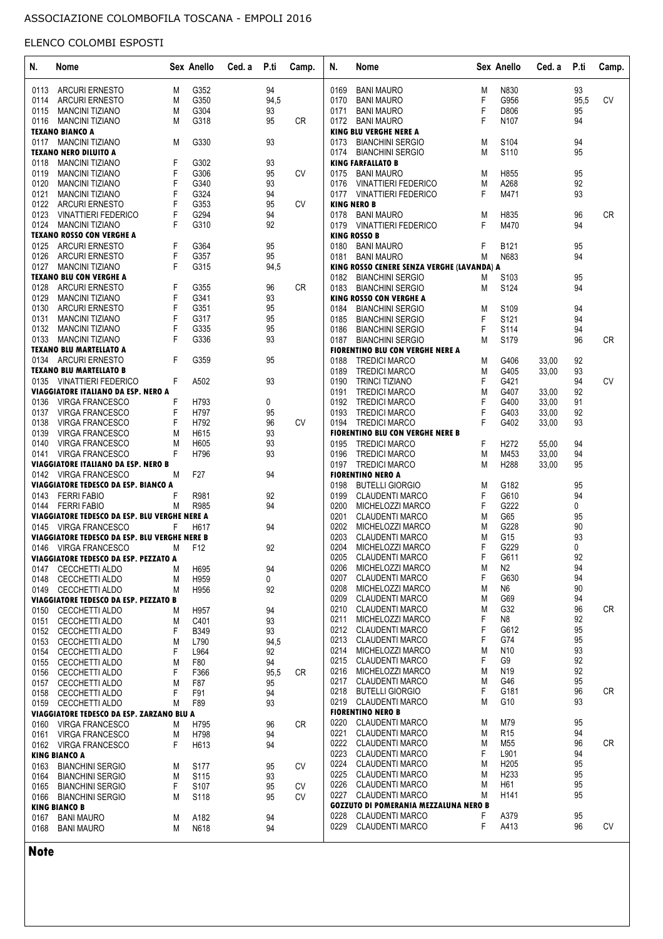| N.   | Nome                                          |   | Sex Anello       | Ced. a | P.ti | Camp.     | N.   | Nome                                         |   | Sex Anello       | Ced. a | P.ti | Camp.     |
|------|-----------------------------------------------|---|------------------|--------|------|-----------|------|----------------------------------------------|---|------------------|--------|------|-----------|
| 0113 | <b>ARCURI ERNESTO</b>                         | M | G352             |        | 94   |           | 0169 | <b>BANI MAURO</b>                            | M | N830             |        | 93   |           |
| 0114 | <b>ARCURI ERNESTO</b>                         | M | G350             |        | 94,5 |           | 0170 | <b>BANI MAURO</b>                            | F | G956             |        | 95,5 | <b>CV</b> |
| 0115 | <b>MANCINI TIZIANO</b>                        | M | G304             |        | 93   |           | 0171 | <b>BANI MAURO</b>                            | F | D806             |        | 95   |           |
| 0116 | <b>MANCINI TIZIANO</b>                        | M | G318             |        | 95   | <b>CR</b> | 0172 | <b>BANI MAURO</b>                            | F | N107             |        | 94   |           |
|      | <b>TEXANO BIANCO A</b>                        |   |                  |        |      |           |      | <b>KING BLU VERGHE NERE A</b>                |   |                  |        |      |           |
|      | 0117 MANCINI TIZIANO                          | M | G330             |        | 93   |           | 0173 | <b>BIANCHINI SERGIO</b>                      | M | S104             |        | 94   |           |
|      | <b>TEXANO NERO DILUITO A</b>                  |   |                  |        |      |           | 0174 | <b>BIANCHINI SERGIO</b>                      | M | S110             |        | 95   |           |
| 0118 | <b>MANCINI TIZIANO</b>                        | F | G302             |        | 93   |           |      | <b>KING FARFALLATO B</b>                     |   |                  |        |      |           |
| 0119 | <b>MANCINI TIZIANO</b>                        | F | G306             |        | 95   | <b>CV</b> | 0175 | <b>BANI MAURO</b>                            | M | H855             |        | 95   |           |
| 0120 | <b>MANCINI TIZIANO</b>                        | F | G340             |        | 93   |           | 0176 | <b>VINATTIERI FEDERICO</b>                   | M | A268             |        | 92   |           |
| 0121 | <b>MANCINI TIZIANO</b>                        | F | G324             |        | 94   |           |      | 0177 VINATTIERI FEDERICO                     | F | M471             |        | 93   |           |
|      | 0122 ARCURI ERNESTO                           | F | G353             |        | 95   | <b>CV</b> |      | <b>KING NERO B</b>                           |   |                  |        |      |           |
| 0123 | <b>VINATTIERI FEDERICO</b>                    | F | G294             |        | 94   |           | 0178 | <b>BANI MAURO</b>                            | M | H835             |        | 96   | <b>CR</b> |
| 0124 | <b>MANCINI TIZIANO</b>                        | F | G310             |        | 92   |           | 0179 | <b>VINATTIERI FEDERICO</b>                   | F | M470             |        | 94   |           |
|      | <b>TEXANO ROSSO CON VERGHE A</b>              |   |                  |        |      |           |      | <b>KING ROSSO B</b>                          |   |                  |        |      |           |
| 0125 | <b>ARCURI ERNESTO</b>                         | F | G364             |        | 95   |           | 0180 | <b>BANI MAURO</b>                            | F | B121             |        | 95   |           |
| 0126 | ARCURI ERNESTO                                | F | G357             |        | 95   |           | 0181 | <b>BANI MAURO</b>                            | M | N683             |        | 94   |           |
| 0127 | <b>MANCINI TIZIANO</b>                        | F | G315             |        | 94,5 |           |      | KING ROSSO CENERE SENZA VERGHE (LAVANDA) A   |   |                  |        |      |           |
|      | <b>TEXANO BLU CON VERGHE A</b>                |   |                  |        |      |           | 0182 | <b>BIANCHINI SERGIO</b>                      | M | S <sub>103</sub> |        | 95   |           |
| 0128 | <b>ARCURI ERNESTO</b>                         | F | G355             |        | 96   | <b>CR</b> | 0183 | <b>BIANCHINI SERGIO</b>                      | M | S124             |        | 94   |           |
| 0129 | <b>MANCINI TIZIANO</b>                        | F | G341             |        | 93   |           |      | <b>KING ROSSO CON VERGHE A</b>               |   |                  |        |      |           |
| 0130 | <b>ARCURI ERNESTO</b>                         | F | G351             |        | 95   |           | 0184 | <b>BIANCHINI SERGIO</b>                      | M | S109             |        | 94   |           |
| 0131 | <b>MANCINI TIZIANO</b>                        | F | G317             |        | 95   |           | 0185 | <b>BIANCHINI SERGIO</b>                      | F | S <sub>121</sub> |        | 94   |           |
|      | 0132 MANCINI TIZIANO                          | F | G335             |        | 95   |           | 0186 | <b>BIANCHINI SERGIO</b>                      | F | S114             |        | 94   |           |
| 0133 | <b>MANCINI TIZIANO</b>                        | F | G336             |        | 93   |           | 0187 | <b>BIANCHINI SERGIO</b>                      | М | S179             |        | 96   | <b>CR</b> |
|      | <b>TEXANO BLU MARTELLATO A</b>                |   |                  |        |      |           |      | <b>FIORENTINO BLU CON VERGHE NERE A</b>      |   |                  |        |      |           |
|      | 0134 ARCURI ERNESTO                           | F | G359             |        | 95   |           | 0188 | <b>TREDICI MARCO</b>                         | M | G406             | 33,00  | 92   |           |
|      | <b>TEXANO BLU MARTELLATO B</b>                |   |                  |        |      |           | 0189 | <b>TREDICI MARCO</b>                         | M | G405             | 33,00  | 93   |           |
|      | 0135 VINATTIERI FEDERICO                      | F | A502             |        | 93   |           | 0190 | <b>TRINCI TIZIANO</b>                        | F | G421             |        | 94   | <b>CV</b> |
|      | VIAGGIATORE ITALIANO DA ESP. NERO A           |   |                  |        |      |           | 0191 | <b>TREDICI MARCO</b>                         | M | G407             | 33,00  | 92   |           |
| 0136 | VIRGA FRANCESCO                               | F | H793             |        | 0    |           | 0192 | <b>TREDICI MARCO</b>                         | F | G400             | 33,00  | 91   |           |
| 0137 | <b>VIRGA FRANCESCO</b>                        | F | H797             |        | 95   |           | 0193 | <b>TREDICI MARCO</b>                         | F | G403             | 33,00  | 92   |           |
| 0138 | <b>VIRGA FRANCESCO</b>                        | F | H792             |        | 96   | <b>CV</b> | 0194 | <b>TREDICI MARCO</b>                         | F | G402             | 33,00  | 93   |           |
| 0139 | <b>VIRGA FRANCESCO</b>                        | M | H615             |        | 93   |           |      | <b>FIORENTINO BLU CON VERGHE NERE B</b>      |   |                  |        |      |           |
| 0140 | <b>VIRGA FRANCESCO</b>                        | M | H605             |        | 93   |           | 0195 | <b>TREDICI MARCO</b>                         | F | H272             | 55,00  | 94   |           |
| 0141 | <b>VIRGA FRANCESCO</b>                        | F | H796             |        | 93   |           | 0196 | <b>TREDICI MARCO</b>                         | M | M453             | 33,00  | 94   |           |
|      | VIAGGIATORE ITALIANO DA ESP. NERO B           |   |                  |        |      |           |      | 0197 TREDICI MARCO                           | М | H288             | 33,00  | 95   |           |
|      | 0142 VIRGA FRANCESCO                          | М | F <sub>27</sub>  |        | 94   |           |      | <b>FIORENTINO NERO A</b>                     |   |                  |        |      |           |
|      | VIAGGIATORE TEDESCO DA ESP. BIANCO A          |   |                  |        |      |           | 0198 | <b>BUTELLI GIORGIO</b>                       | M | G182             |        | 95   |           |
|      | 0143 FERRI FABIO                              | F | R981             |        | 92   |           | 0199 | <b>CLAUDENTI MARCO</b>                       | F | G610             |        | 94   |           |
|      | 0144 FERRI FABIO                              | M | R985             |        | 94   |           | 0200 | MICHELOZZI MARCO                             | F | G222             |        | 0    |           |
|      | VIAGGIATORE TEDESCO DA ESP. BLU VERGHE NERE A |   |                  |        |      |           | 0201 | <b>CLAUDENTI MARCO</b>                       | M | G65              |        | 95   |           |
|      | 0145 VIRGA FRANCESCO                          | F | H617             |        | 94   |           | 0202 | MICHELOZZI MARCO                             | M | G228             |        | 90   |           |
|      | VIAGGIATORE TEDESCO DA ESP. BLU VERGHE NERE B |   |                  |        |      |           | 0203 | <b>CLAUDENTI MARCO</b>                       | M | G15              |        | 93   |           |
|      | 0146 VIRGA FRANCESCO                          | M | F <sub>12</sub>  |        | 92   |           | 0204 | MICHELOZZI MARCO                             | F | G229             |        | 0    |           |
|      | VIAGGIATORE TEDESCO DA ESP. PEZZATO A         |   |                  |        |      |           | 0205 | <b>CLAUDENTI MARCO</b>                       | F | G611             |        | 92   |           |
| 0147 | CECCHETTI ALDO                                | M | H695             |        | 94   |           | 0206 | MICHELOZZI MARCO                             | M | N2               |        | 94   |           |
| 0148 | <b>CECCHETTI ALDO</b>                         | M | H959             |        | 0    |           | 0207 | <b>CLAUDENTI MARCO</b>                       | F | G630             |        | 94   |           |
|      | 0149 CECCHETTI ALDO                           | M | H956             |        | 92   |           |      | 0208 MICHELOZZI MARCO                        | M | N6               |        | 90   |           |
|      | VIAGGIATORE TEDESCO DA ESP. PEZZATO B         |   |                  |        |      |           | 0209 | <b>CLAUDENTI MARCO</b>                       | M | G69              |        | 94   |           |
| 0150 | <b>CECCHETTI ALDO</b>                         | M | H957             |        | 94   |           |      | 0210 CLAUDENTI MARCO                         | M | G32              |        | 96   | <b>CR</b> |
| 0151 | CECCHETTI ALDO                                | M | C401             |        | 93   |           | 0211 | MICHELOZZI MARCO                             | F | N8               |        | 92   |           |
|      | 0152 CECCHETTI ALDO                           | F | <b>B349</b>      |        | 93   |           |      | 0212 CLAUDENTI MARCO                         | F | G612             |        | 95   |           |
|      | 0153 CECCHETTI ALDO                           | M | L790             |        | 94,5 |           |      | 0213 CLAUDENTI MARCO                         | F | G74              |        | 95   |           |
| 0154 | CECCHETTI ALDO                                | F | L964             |        | 92   |           |      | 0214 MICHELOZZI MARCO                        | M | N <sub>10</sub>  |        | 93   |           |
| 0155 | <b>CECCHETTI ALDO</b>                         | M | F80              |        | 94   |           |      | 0215 CLAUDENTI MARCO                         | F | G9               |        | 92   |           |
| 0156 | CECCHETTI ALDO                                | F | F366             |        | 95,5 | CR.       |      | 0216 MICHELOZZI MARCO                        | M | N19              |        | 92   |           |
| 0157 | CECCHETTI ALDO                                | M | F87              |        | 95   |           |      | 0217 CLAUDENTI MARCO                         | M | G46              |        | 95   |           |
| 0158 | <b>CECCHETTI ALDO</b>                         | F | F91              |        | 94   |           |      | 0218 BUTELLI GIORGIO                         | F | G181             |        | 96   | <b>CR</b> |
|      | 0159 CECCHETTI ALDO                           | M | F89              |        | 93   |           |      | 0219 CLAUDENTI MARCO                         | М | G10              |        | 93   |           |
|      | VIAGGIATORE TEDESCO DA ESP. ZARZANO BLU A     |   |                  |        |      |           |      | <b>FIORENTINO NERO B</b>                     |   |                  |        |      |           |
|      | 0160 VIRGA FRANCESCO                          | М | H795             |        | 96   | CR        | 0220 | <b>CLAUDENTI MARCO</b>                       | M | M79              |        | 95   |           |
| 0161 | <b>VIRGA FRANCESCO</b>                        | M | H798             |        | 94   |           | 0221 | <b>CLAUDENTI MARCO</b>                       | М | R <sub>15</sub>  |        | 94   |           |
|      | 0162 VIRGA FRANCESCO                          | F | H613             |        | 94   |           |      | 0222 CLAUDENTI MARCO                         | M | M55              |        | 96   | CR        |
|      | <b>KING BIANCO A</b>                          |   |                  |        |      |           | 0223 | <b>CLAUDENTI MARCO</b>                       | F | L901             |        | 94   |           |
| 0163 | <b>BIANCHINI SERGIO</b>                       | M | S <sub>177</sub> |        | 95   | CV        |      | 0224 CLAUDENTI MARCO                         | M | H <sub>205</sub> |        | 95   |           |
| 0164 | <b>BIANCHINI SERGIO</b>                       | M | S <sub>115</sub> |        | 93   |           |      | 0225 CLAUDENTI MARCO                         | М | H233             |        | 95   |           |
| 0165 | <b>BIANCHINI SERGIO</b>                       | F | S <sub>107</sub> |        | 95   | CV        | 0226 | <b>CLAUDENTI MARCO</b>                       | M | H61              |        | 95   |           |
| 0166 | <b>BIANCHINI SERGIO</b>                       | M | S <sub>118</sub> |        | 95   | <b>CV</b> | 0227 | <b>CLAUDENTI MARCO</b>                       | M | H141             |        | 95   |           |
|      | <b>KING BIANCO B</b>                          |   |                  |        |      |           |      | <b>GOZZUTO DI POMERANIA MEZZALUNA NERO B</b> |   |                  |        |      |           |
| 0167 | <b>BANI MAURO</b>                             | M | A182             |        | 94   |           | 0228 | <b>CLAUDENTI MARCO</b>                       | F | A379             |        | 95   |           |
| 0168 | <b>BANI MAURO</b>                             | M | N618             |        | 94   |           | 0229 | CLAUDENTI MARCO                              | F | A413             |        | 96   | <b>CV</b> |
|      |                                               |   |                  |        |      |           |      |                                              |   |                  |        |      |           |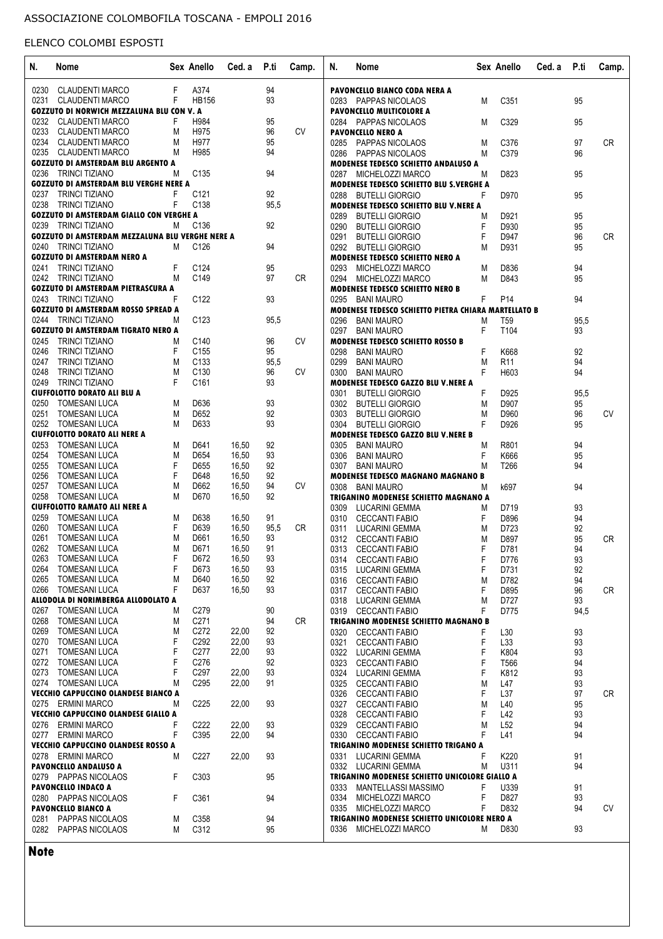| N.   | Nome                                             |    | Sex Anello       | Ced. a | P.ti | Camp.     | N.   | Nome                                                 |    | Sex Anello      | Ced. a P.ti |          | Camp.     |
|------|--------------------------------------------------|----|------------------|--------|------|-----------|------|------------------------------------------------------|----|-----------------|-------------|----------|-----------|
| 0230 | <b>CLAUDENTI MARCO</b>                           | F  | A374             |        | 94   |           |      | PAVONCELLO BIANCO CODA NERA A                        |    |                 |             |          |           |
|      | 0231 CLAUDENTI MARCO                             | F  | <b>HB156</b>     |        | 93   |           |      | 0283 PAPPAS NICOLAOS                                 | M  | C351            |             | 95       |           |
|      | GOZZUTO DI NORWICH MEZZALUNA BLU CON V. A        |    |                  |        |      |           |      | <b>PAVONCELLO MULTICOLORE A</b>                      |    |                 |             |          |           |
|      | 0232 CLAUDENTI MARCO                             | F  | H984             |        | 95   |           |      | 0284 PAPPAS NICOLAOS                                 | M  | C329            |             | 95       |           |
|      | 0233 CLAUDENTI MARCO                             | M  | H975             |        | 96   | <b>CV</b> |      | <b>PAVONCELLO NERO A</b>                             |    |                 |             |          |           |
|      | 0234 CLAUDENTI MARCO                             | M  | H977             |        | 95   |           |      | 0285 PAPPAS NICOLAOS                                 | M  | C376            |             | 97       | <b>CR</b> |
|      | 0235 CLAUDENTI MARCO                             | M  | H985             |        | 94   |           |      | 0286 PAPPAS NICOLAOS                                 | M  | C379            |             | 96       |           |
|      | <b>GOZZUTO DI AMSTERDAM BLU ARGENTO A</b>        |    |                  |        |      |           |      | <b>MODENESE TEDESCO SCHIETTO ANDALUSO A</b>          |    |                 |             |          |           |
|      | 0236 TRINCI TIZIANO                              | М  | C <sub>135</sub> |        | 94   |           |      | 0287 MICHELOZZI MARCO                                | M  | D823            |             | 95       |           |
|      | <b>GOZZUTO DI AMSTERDAM BLU VERGHE NERE A</b>    |    |                  |        |      |           |      | <b>MODENESE TEDESCO SCHIETTO BLU S.VERGHE A</b>      |    |                 |             |          |           |
|      | 0237 TRINCI TIZIANO                              | F. | C <sub>121</sub> |        | 92   |           |      | 0288 BUTELLI GIORGIO                                 | F. | D970            |             | 95       |           |
|      | 0238 TRINCI TIZIANO                              | F  | C138             |        | 95,5 |           |      | MODENESE TEDESCO SCHIETTO BLU V.NERE A               |    |                 |             |          |           |
|      | <b>GOZZUTO DI AMSTERDAM GIALLO CON VERGHE A</b>  |    |                  |        |      |           |      |                                                      |    |                 |             |          |           |
|      | 0239 TRINCI TIZIANO                              | М  | C <sub>136</sub> |        | 92   |           | 0289 | <b>BUTELLI GIORGIO</b>                               | M  | D921            |             | 95       |           |
|      | GOZZUTO DI AMSTERDAM MEZZALUNA BLU VERGHE NERE A |    |                  |        |      |           | 0290 | BUTELLI GIORGIO                                      | F  | D930            |             | 95<br>96 | <b>CR</b> |
|      |                                                  |    | C126             |        |      |           | 0291 | <b>BUTELLI GIORGIO</b><br>0292 BUTELLI GIORGIO       | F. | D947            |             |          |           |
|      | 0240 TRINCI TIZIANO                              | M  |                  |        | 94   |           |      |                                                      | М  | D931            |             | 95       |           |
|      | <b>GOZZUTO DI AMSTERDAM NERO A</b>               |    |                  |        |      |           |      | <b>MODENESE TEDESCO SCHIETTO NERO A</b>              |    |                 |             |          |           |
|      | 0241 TRINCI TIZIANO                              | F  | C124             |        | 95   |           |      | 0293 MICHELOZZI MARCO                                | M  | D836            |             | 94       |           |
|      | 0242 TRINCI TIZIANO                              | M  | C149             |        | 97   | CR        |      | 0294 MICHELOZZI MARCO                                | M  | D843            |             | 95       |           |
|      | <b>GOZZUTO DI AMSTERDAM PIETRASCURA A</b>        |    |                  |        |      |           |      | <b>MODENESE TEDESCO SCHIETTO NERO B</b>              |    |                 |             |          |           |
|      | 0243 TRINCI TIZIANO                              | F  | C <sub>122</sub> |        | 93   |           |      | 0295 BANI MAURO                                      | F. | P <sub>14</sub> |             | 94       |           |
|      | <b>GOZZUTO DI AMSTERDAM ROSSO SPREAD A</b>       |    |                  |        |      |           |      | MODENESE TEDESCO SCHIETTO PIETRA CHIARA MARTELLATO B |    |                 |             |          |           |
|      | 0244 TRINCI TIZIANO                              | M  | C <sub>123</sub> |        | 95,5 |           | 0296 | <b>BANI MAURO</b>                                    | M  | T <sub>59</sub> |             | 95,5     |           |
|      | <b>GOZZUTO DI AMSTERDAM TIGRATO NERO A</b>       |    |                  |        |      |           | 0297 | <b>BANI MAURO</b>                                    | F. | T104            |             | 93       |           |
|      | 0245 TRINCI TIZIANO                              | M  | C140             |        | 96   | <b>CV</b> |      | <b>MODENESE TEDESCO SCHIETTO ROSSO B</b>             |    |                 |             |          |           |
|      | 0246 TRINCI TIZIANO                              | F  | C <sub>155</sub> |        | 95   |           | 0298 | <b>BANI MAURO</b>                                    | F  | K668            |             | 92       |           |
|      | 0247 TRINCI TIZIANO                              | M  | C <sub>133</sub> |        | 95,5 |           | 0299 | <b>BANI MAURO</b>                                    | M  | <b>R11</b>      |             | 94       |           |
|      | 0248 TRINCI TIZIANO                              | M  | C <sub>130</sub> |        | 96   | <b>CV</b> | 0300 | <b>BANI MAURO</b>                                    | F  | H603            |             | 94       |           |
|      | 0249 TRINCI TIZIANO                              | F  | C <sub>161</sub> |        | 93   |           |      | MODENESE TEDESCO GAZZO BLU V.NERE A                  |    |                 |             |          |           |
|      | <b>CIUFFOLOTTO DORATO ALI BLU A</b>              |    |                  |        |      |           | 0301 | <b>BUTELLI GIORGIO</b>                               | F  | D925            |             | 95,5     |           |
|      | 0250 TOMESANI LUCA                               | M  | D636             |        | 93   |           |      | 0302 BUTELLI GIORGIO                                 | M  | D907            |             | 95       |           |
|      | 0251 TOMESANI LUCA                               | M  | D652             |        | 92   |           |      | 0303 BUTELLI GIORGIO                                 | M  | D960            |             | 96       | <b>CV</b> |
|      | 0252 TOMESANI LUCA                               | M  | D633             |        | 93   |           | 0304 | <b>BUTELLI GIORGIO</b>                               | F  | D926            |             | 95       |           |
|      | <b>CIUFFOLOTTO DORATO ALI NERE A</b>             |    |                  |        |      |           |      | MODENESE TEDESCO GAZZO BLU V.NERE B                  |    |                 |             |          |           |
|      | 0253 TOMESANI LUCA                               | M  | D641             | 16,50  | 92   |           | 0305 | <b>BANI MAURO</b>                                    | M  | R801            |             | 94       |           |
|      | 0254 TOMESANI LUCA                               | M  | D654             | 16,50  | 93   |           | 0306 | <b>BANI MAURO</b>                                    | F  | K666            |             | 95       |           |
|      | 0255 TOMESANI LUCA                               | F  | D655             | 16,50  | 92   |           | 0307 | <b>BANI MAURO</b>                                    | M  | T266            |             | 94       |           |
|      | 0256 TOMESANI LUCA                               | F  | D648             | 16,50  | 92   |           |      | <b>MODENESE TEDESCO MAGNANO MAGNANO B</b>            |    |                 |             |          |           |
| 0257 | <b>TOMESANI LUCA</b>                             | M  | D662             | 16,50  | 94   | <b>CV</b> | 0308 | <b>BANI MAURO</b>                                    | M  | k697            |             | 94       |           |
|      | 0258 TOMESANI LUCA                               | M  | D670             | 16,50  | 92   |           |      | TRIGANINO MODENESE SCHIETTO MAGNANO A                |    |                 |             |          |           |
|      | <b>CIUFFOLOTTO RAMATO ALI NERE A</b>             |    |                  |        |      |           | 0309 | LUCARINI GEMMA                                       | M  | D719            |             | 93       |           |
| 0259 | TOMESANI LUCA                                    | M  | D638             | 16,50  | 91   |           | 0310 | <b>CECCANTI FABIO</b>                                | F. | D896            |             | 94       |           |
| 0260 | <b>TOMESANI LUCA</b>                             | F  | D639             | 16,50  | 95,5 | CR.       | 0311 | <b>LUCARINI GEMMA</b>                                | M  | D723            |             | 92       |           |
| 0261 | <b>TOMESANI LUCA</b>                             | M  | D661             | 16,50  | 93   |           | 0312 | <b>CECCANTI FABIO</b>                                | M  | D897            |             | 95       | <b>CR</b> |
|      | 0262 TOMESANI LUCA                               | M  | D671             | 16,50  | 91   |           |      |                                                      | F  | D781            |             | 94       |           |
| 0263 | <b>TOMESANI LUCA</b>                             | F  | D672             | 16,50  | 93   |           | 0313 | <b>CECCANTI FABIO</b><br><b>CECCANTI FABIO</b>       | F  |                 |             | 93       |           |
|      | 0264 TOMESANI LUCA                               | F  | D673             | 16,50  | 93   |           | 0314 |                                                      | F  | D776<br>D731    |             | 92       |           |
|      | 0265 TOMESANI LUCA                               | М  | D640             | 16,50  | 92   |           |      | 0315 LUCARINI GEMMA                                  |    |                 |             |          |           |
|      |                                                  | F  | D637             |        |      |           | 0316 | CECCANTI FABIO                                       | M  | D782            |             | 94       |           |
|      | 0266 TOMESANI LUCA                               |    |                  | 16,50  | 93   |           |      | 0317 CECCANTI FABIO                                  | F  | D895            |             | 96       | CR        |
|      | ALLODOLA DI NORIMBERGA ALLODOLATO A              |    |                  |        |      |           |      | 0318 LUCARINI GEMMA                                  | M  | D727            |             | 93       |           |
|      | 0267 TOMESANI LUCA                               | M  | C <sub>279</sub> |        | 90   |           |      | 0319 CECCANTI FABIO                                  | F  | D775            |             | 94,5     |           |
|      | 0268 TOMESANI LUCA                               | М  | C271             |        | 94   | CR.       |      | <b>TRIGANINO MODENESE SCHIETTO MAGNANO B</b>         |    |                 |             |          |           |
|      | 0269 TOMESANI LUCA                               | M  | C272             | 22,00  | 92   |           | 0320 | <b>CECCANTI FABIO</b>                                | F  | L30             |             | 93       |           |
|      | 0270 TOMESANI LUCA                               | F  | C <sub>292</sub> | 22,00  | 93   |           | 0321 | <b>CECCANTI FABIO</b>                                | F  | L33             |             | 93       |           |
|      | 0271 TOMESANI LUCA                               | F  | C <sub>277</sub> | 22,00  | 93   |           |      | 0322 LUCARINI GEMMA                                  | F  | K804            |             | 93       |           |
|      | 0272 TOMESANI LUCA                               | F  | C276             |        | 92   |           | 0323 | <b>CECCANTI FABIO</b>                                | F  | T566            |             | 94       |           |
|      | 0273 TOMESANI LUCA                               | F  | C297             | 22,00  | 93   |           |      | 0324 LUCARINI GEMMA                                  | F  | K812            |             | 93       |           |
|      | 0274 TOMESANI LUCA                               | M  | C295             | 22,00  | 91   |           |      | 0325 CECCANTI FABIO                                  | M  | L47             |             | 93       |           |
|      | VECCHIO CAPPUCCINO OLANDESE BIANCO A             |    |                  |        |      |           |      | 0326 CECCANTI FABIO                                  | F. | L37             |             | 97       | CR        |
|      | 0275 ERMINI MARCO                                | M  | C <sub>225</sub> | 22,00  | 93   |           |      | 0327 CECCANTI FABIO                                  | M  | L40             |             | 95       |           |
|      | VECCHIO CAPPUCCINO OLANDESE GIALLO A             |    |                  |        |      |           |      | 0328 CECCANTI FABIO                                  | F  | L42             |             | 93       |           |
|      | 0276 ERMINI MARCO                                |    | C <sub>222</sub> | 22,00  | 93   |           | 0329 | CECCANTI FABIO                                       | M  | L52             |             | 94       |           |
|      | 0277 ERMINI MARCO                                | F  | C395             | 22,00  | 94   |           |      | 0330 CECCANTI FABIO                                  | F  | L41             |             | 94       |           |
|      | VECCHIO CAPPUCCINO OLANDESE ROSSO A              |    |                  |        |      |           |      | TRIGANINO MODENESE SCHIETTO TRIGANO A                |    |                 |             |          |           |
|      | 0278 ERMINI MARCO                                | M  | C227             | 22,00  | 93   |           | 0331 | LUCARINI GEMMA                                       | F  | K220            |             | 91       |           |
|      | PAVONCELLO ANDALUSO A                            |    |                  |        |      |           |      | 0332 LUCARINI GEMMA                                  | M  | U311            |             | 94       |           |
|      | 0279 PAPPAS NICOLAOS                             | F  | C303             |        | 95   |           |      | TRIGANINO MODENESE SCHIETTO UNICOLORE GIALLO A       |    |                 |             |          |           |
|      | <b>PAVONCELLO INDACO A</b>                       |    |                  |        |      |           | 0333 | MANTELLASSI MASSIMO                                  | F  | U339            |             | 91       |           |
|      |                                                  |    |                  |        |      |           |      | 0334 MICHELOZZI MARCO                                |    | D827            |             | 93       |           |
|      | 0280 PAPPAS NICOLAOS                             | F  | C361             |        | 94   |           |      |                                                      | F  |                 |             |          | <b>CV</b> |
|      | <b>PAVONCELLO BIANCO A</b>                       |    |                  |        |      |           |      | 0335 MICHELOZZI MARCO                                | F  | D832            |             | 94       |           |
|      |                                                  | M  | C358             |        | 94   |           |      | TRIGANINO MODENESE SCHIETTO UNICOLORE NERO A         |    |                 |             |          |           |
| 0281 | <b>PAPPAS NICOLAOS</b><br>0282 PAPPAS NICOLAOS   | M  | C312             |        | 95   |           |      | 0336 MICHELOZZI MARCO                                | М  | D830            |             | 93       |           |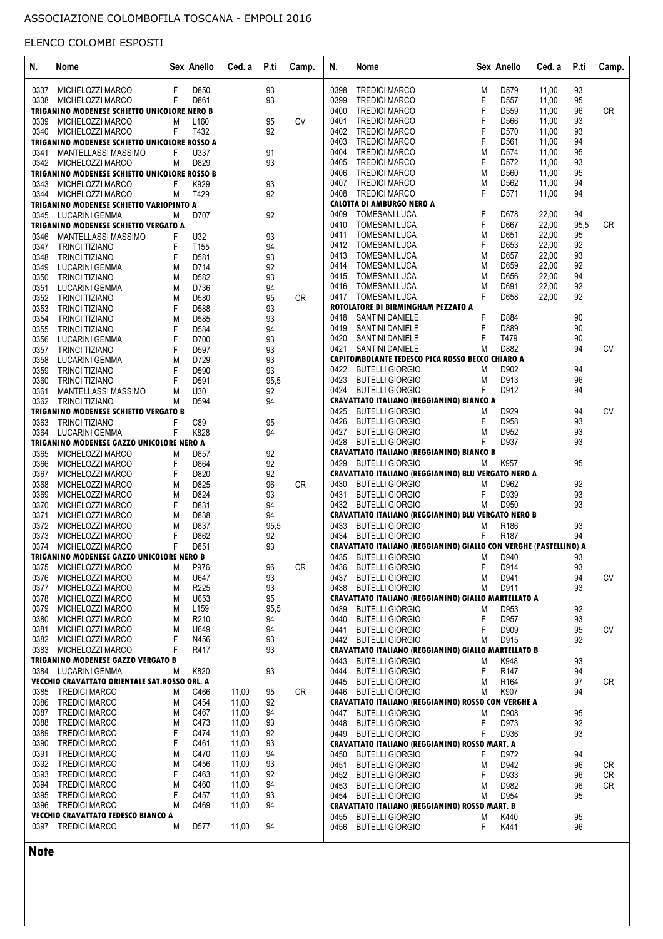| N.   | Nome                                                        |   | Sex Anello       | Ced. a | P.ti | Camp.     | N.           | Nome                                                              |        | Sex Anello       | Ced. a | P.ti     | Camp.     |
|------|-------------------------------------------------------------|---|------------------|--------|------|-----------|--------------|-------------------------------------------------------------------|--------|------------------|--------|----------|-----------|
| 0337 | MICHELOZZI MARCO                                            | F | D850             |        | 93   |           | 0398         | <b>TREDICI MARCO</b>                                              | M      | D579             | 11,00  | 93       |           |
| 0338 | MICHELOZZI MARCO                                            | F | D861             |        | 93   |           | 0399         | <b>TREDICI MARCO</b>                                              | F      | D557             | 11,00  | 95       |           |
|      | TRIGANINO MODENESE SCHIETTO UNICOLORE NERO B                |   |                  |        |      |           | 0400         | <b>TREDICI MARCO</b>                                              | F      | D559             | 11,00  | 96       | <b>CR</b> |
|      |                                                             |   |                  |        |      |           | 0401         | <b>TREDICI MARCO</b>                                              |        | D566             | 11,00  | 93       |           |
| 0339 | MICHELOZZI MARCO                                            | M | L <sub>160</sub> |        | 95   | <b>CV</b> |              |                                                                   | F      |                  |        |          |           |
| 0340 | MICHELOZZI MARCO                                            | F | T432             |        | 92   |           | 0402         | <b>TREDICI MARCO</b>                                              | F      | D570             | 11,00  | 93       |           |
|      | TRIGANINO MODENESE SCHIETTO UNICOLORE ROSSO A               |   |                  |        |      |           | 0403         | <b>TREDICI MARCO</b>                                              | F      | D561             | 11,00  | 94       |           |
| 0341 | MANTELLASSI MASSIMO                                         | F | U337             |        | 91   |           | 0404         | <b>TREDICI MARCO</b>                                              | M      | D <sub>574</sub> | 11,00  | 95       |           |
|      | 0342 MICHELOZZI MARCO                                       | M | D829             |        | 93   |           | 0405         | <b>TREDICI MARCO</b>                                              | F      | D <sub>572</sub> | 11,00  | 93       |           |
|      | TRIGANINO MODENESE SCHIETTO UNICOLORE ROSSO B               |   |                  |        |      |           | 0406         | <b>TREDICI MARCO</b>                                              | M      | D <sub>560</sub> | 11,00  | 95       |           |
| 0343 | MICHELOZZI MARCO                                            | F | K929             |        | 93   |           | 0407         | <b>TREDICI MARCO</b>                                              | M      | D562             | 11,00  | 94       |           |
| 0344 | MICHELOZZI MARCO                                            | Μ | T429             |        | 92   |           | 0408         | <b>TREDICI MARCO</b>                                              | F      | D571             | 11,00  | 94       |           |
|      | TRIGANINO MODENESE SCHIETTO VARIOPINTO A                    |   |                  |        |      |           |              | <b>CALOTTA DI AMBURGO NERO A</b>                                  |        |                  |        |          |           |
|      |                                                             |   | D707             |        | 92   |           | 0409         | TOMESANI LUCA                                                     | F      | D678             | 22,00  | 94       |           |
|      | 0345 LUCARINI GEMMA                                         | М |                  |        |      |           | 0410         | TOMESANI LUCA                                                     | F      | D667             | 22,00  | 95,5     | <b>CR</b> |
|      | TRIGANINO MODENESE SCHIETTO VERGATO A                       |   |                  |        |      |           |              |                                                                   |        |                  |        |          |           |
| 0346 | MANTELLASSI MASSIMO                                         | F | U32              |        | 93   |           | 0411         | <b>TOMESANI LUCA</b>                                              | M      | D651             | 22,00  | 95       |           |
| 0347 | <b>TRINCI TIZIANO</b>                                       | F | T155             |        | 94   |           | 0412         | <b>TOMESANI LUCA</b>                                              | F      | D653             | 22,00  | 92       |           |
| 0348 | <b>TRINCI TIZIANO</b>                                       | F | D581             |        | 93   |           | 0413         | TOMESANI LUCA                                                     | M      | D657             | 22,00  | 93       |           |
| 0349 | LUCARINI GEMMA                                              | M | D714             |        | 92   |           | 0414         | TOMESANI LUCA                                                     | M      | D659             | 22,00  | 92       |           |
| 0350 | <b>TRINCI TIZIANO</b>                                       | M | D <sub>582</sub> |        | 93   |           | 0415         | TOMESANI LUCA                                                     | M      | D656             | 22,00  | 94       |           |
| 0351 | LUCARINI GEMMA                                              | M | D736             |        | 94   |           | 0416         | <b>TOMESANI LUCA</b>                                              | M      | D691             | 22,00  | 92       |           |
| 0352 | <b>TRINCI TIZIANO</b>                                       | M | D580             |        | 95   | <b>CR</b> |              | 0417 TOMESANI LUCA                                                | F      | D658             | 22,00  | 92       |           |
| 0353 | <b>TRINCI TIZIANO</b>                                       | F | D588             |        | 93   |           |              | ROTOLATORE DI BIRMINGHAM PEZZATO A                                |        |                  |        |          |           |
|      |                                                             |   |                  |        |      |           |              |                                                                   | F      |                  |        | 90       |           |
| 0354 | <b>TRINCI TIZIANO</b>                                       | M | D585             |        | 93   |           | 0418         | SANTINI DANIELE                                                   |        | D884             |        |          |           |
| 0355 | TRINCI TIZIANO                                              | F | D584             |        | 94   |           | 0419         | SANTINI DANIELE                                                   | F      | D889             |        | 90       |           |
| 0356 | LUCARINI GEMMA                                              | F | D700             |        | 93   |           | 0420         | SANTINI DANIELE                                                   |        | T479             |        | 90       |           |
| 0357 | <b>TRINCI TIZIANO</b>                                       | F | D597             |        | 93   |           | 0421         | <b>SANTINI DANIELE</b>                                            | M      | D882             |        | 94       | <b>CV</b> |
| 0358 | LUCARINI GEMMA                                              | M | D729             |        | 93   |           |              | CAPITOMBOLANTE TEDESCO PICA ROSSO BECCO CHIARO A                  |        |                  |        |          |           |
| 0359 | <b>TRINCI TIZIANO</b>                                       | F | D590             |        | 93   |           | 0422         | <b>BUTELLI GIORGIO</b>                                            | M      | D902             |        | 94       |           |
| 0360 | <b>TRINCI TIZIANO</b>                                       | F | D591             |        | 95,5 |           | 0423         | <b>BUTELLI GIORGIO</b>                                            | M      | D913             |        | 96       |           |
| 0361 | MANTELLASSI MASSIMO                                         | M | U30              |        | 92   |           | 0424         | <b>BUTELLI GIORGIO</b>                                            | F      | D912             |        | 94       |           |
|      | 0362 TRINCI TIZIANO                                         | M | D594             |        | 94   |           |              | CRAVATTATO ITALIANO (REGGIANINO) BIANCO A                         |        |                  |        |          |           |
|      |                                                             |   |                  |        |      |           |              |                                                                   |        |                  |        |          | <b>CV</b> |
|      | <b>TRIGANINO MODENESE SCHIETTO VERGATO B</b>                |   |                  |        |      |           | 0425         | <b>BUTELLI GIORGIO</b>                                            | M      | D929             |        | 94       |           |
| 0363 | <b>TRINCI TIZIANO</b>                                       | F | C89              |        | 95   |           | 0426         | <b>BUTELLI GIORGIO</b>                                            | F      | D958             |        | 93       |           |
| 0364 | LUCARINI GEMMA                                              | F | K828             |        | 94   |           | 0427         | <b>BUTELLI GIORGIO</b>                                            | M      | D952             |        | 93       |           |
|      | TRIGANINO MODENESE GAZZO UNICOLORE NERO A                   |   |                  |        |      |           | 0428         | <b>BUTELLI GIORGIO</b>                                            | F      | D937             |        | 93       |           |
| 0365 | MICHELOZZI MARCO                                            | M | D857             |        | 92   |           |              | <b>CRAVATTATO ITALIANO (REGGIANINO) BIANCO B</b>                  |        |                  |        |          |           |
| 0366 | MICHELOZZI MARCO                                            | F | D864             |        | 92   |           |              | 0429 BUTELLI GIORGIO                                              | М      | K957             |        | 95       |           |
| 0367 | MICHELOZZI MARCO                                            | F | D820             |        | 92   |           |              | CRAVATTATO ITALIANO (REGGIANINO) BLU VERGATO NERO A               |        |                  |        |          |           |
| 0368 | MICHELOZZI MARCO                                            | M | D825             |        | 96   | <b>CR</b> | 0430         | <b>BUTELLI GIORGIO</b>                                            | M      | D962             |        | 92       |           |
| 0369 | MICHELOZZI MARCO                                            | M | D824             |        | 93   |           | 0431         | <b>BUTELLI GIORGIO</b>                                            | F      | D939             |        | 93       |           |
|      |                                                             | F | D831             |        |      |           |              | 0432 BUTELLI GIORGIO                                              | M      | D950             |        | 93       |           |
| 0370 | MICHELOZZI MARCO                                            |   |                  |        | 94   |           |              |                                                                   |        |                  |        |          |           |
| 0371 | MICHELOZZI MARCO                                            | M | D838             |        | 94   |           |              | CRAVATTATO ITALIANO (REGGIANINO) BLU VERGATO NERO B               |        |                  |        |          |           |
| 0372 | MICHELOZZI MARCO                                            | M | D837             |        | 95,5 |           | 0433         | <b>BUTELLI GIORGIO</b>                                            | M      | R186             |        | 93       |           |
| 0373 | MICHELOZZI MARCO                                            | F | D862             |        | 92   |           |              | 0434 BUTELLI GIORGIO                                              | F      | R <sub>187</sub> |        | 94       |           |
| 0374 | MICHELOZZI MARCO                                            | F | D851             |        | 93   |           |              | CRAVATTATO ITALIANO (REGGIANINO) GIALLO CON VERGHE (PASTELLINO) A |        |                  |        |          |           |
|      | TRIGANINO MODENESE GAZZO UNICOLORE NERO B                   |   |                  |        |      |           | 0435         | <b>BUTELLI GIORGIO</b>                                            | M      | D940             |        | 93       |           |
| 0375 | MICHELOZZI MARCO                                            | М | P976             |        | 96   | <b>CR</b> | 0436         | <b>BUTELLI GIORGIO</b>                                            | F      | D914             |        | 93       |           |
| 0376 | MICHELOZZI MARCO                                            | M | U647             |        | 93   |           | 0437         | <b>BUTELLI GIORGIO</b>                                            | М      | D941             |        | 94       | <b>CV</b> |
|      | MICHELOZZI MARCO                                            |   | R225             |        |      |           |              | 0438 BUTELLI GIORGIO                                              | M      | D911             |        | 93       |           |
| 0377 |                                                             | M |                  |        | 93   |           |              |                                                                   |        |                  |        |          |           |
| 0378 | MICHELOZZI MARCO                                            | M | U653             |        | 95   |           |              | CRAVATTATO ITALIANO (REGGIANINO) GIALLO MARTELLATO A              |        |                  |        |          |           |
| 0379 | MICHELOZZI MARCO                                            | M | L <sub>159</sub> |        | 95,5 |           | 0439         | <b>BUTELLI GIORGIO</b>                                            | M      | D953             |        | 92       |           |
| 0380 | MICHELOZZI MARCO                                            | M | R <sub>210</sub> |        | 94   |           |              | 0440 BUTELLI GIORGIO                                              | F      | D957             |        | 93       |           |
| 0381 | MICHELOZZI MARCO                                            | M | U649             |        | 94   |           |              | 0441 BUTELLI GIORGIO                                              | F      | D909             |        | 95       | <b>CV</b> |
|      | 0382 MICHELOZZI MARCO                                       | F | N456             |        | 93   |           |              | 0442 BUTELLI GIORGIO                                              | M      | D915             |        | 92       |           |
|      | 0383 MICHELOZZI MARCO                                       | F | R417             |        | 93   |           |              | CRAVATTATO ITALIANO (REGGIANINO) GIALLO MARTELLATO B              |        |                  |        |          |           |
|      | <b>TRIGANINO MODENESE GAZZO VERGATO B</b>                   |   |                  |        |      |           | 0443         | <b>BUTELLI GIORGIO</b>                                            | м      | K948             |        | 93       |           |
|      | 0384 LUCARINI GEMMA                                         | M | K820             |        | 93   |           | 0444         | <b>BUTELLI GIORGIO</b>                                            | F      | R <sub>147</sub> |        | 94       |           |
|      |                                                             |   |                  |        |      |           |              |                                                                   |        |                  |        |          |           |
|      | VECCHIO CRAVATTATO ORIENTALE SAT.ROSSO ORL. A               |   |                  |        |      |           | 0445         | <b>BUTELLI GIORGIO</b>                                            | M      | R <sub>164</sub> |        | 97       | <b>CR</b> |
|      | 0385 TREDICI MARCO                                          | M | C466             | 11,00  | 95   | CR        |              | 0446 BUTELLI GIORGIO                                              | М      | K907             |        | 94       |           |
| 0386 | TREDICI MARCO                                               | M | C454             | 11,00  | 92   |           |              | CRAVATTATO ITALIANO (REGGIANINO) ROSSO CON VERGHE A               |        |                  |        |          |           |
| 0387 | <b>TREDICI MARCO</b>                                        | M | C467             | 11,00  | 94   |           |              | 0447 BUTELLI GIORGIO                                              | М      | D908             |        | 95       |           |
|      | 0388 TREDICI MARCO                                          | M | C473             | 11,00  | 93   |           |              | 0448 BUTELLI GIORGIO                                              | F      | D973             |        | 92       |           |
|      | 0389 TREDICI MARCO                                          | F | C474             | 11,00  | 92   |           |              | 0449 BUTELLI GIORGIO                                              | F      | D936             |        | 93       |           |
|      | 0390 TREDICI MARCO                                          | F | C461             | 11,00  | 93   |           |              | <b>CRAVATTATO ITALIANO (REGGIANINO) ROSSO MART. A</b>             |        |                  |        |          |           |
|      |                                                             |   |                  |        |      |           |              |                                                                   |        |                  |        |          |           |
| 0391 | <b>TREDICI MARCO</b>                                        | M | C470             | 11,00  | 94   |           |              | 0450 BUTELLI GIORGIO                                              | F      | D972             |        | 94       |           |
|      | 0392 TREDICI MARCO                                          | M | C456             | 11,00  | 93   |           |              | 0451 BUTELLI GIORGIO                                              | M      | D942             |        | 96       | CR        |
|      | 0393 TREDICI MARCO                                          | F | C463             | 11,00  | 92   |           |              | 0452 BUTELLI GIORGIO                                              | F      | D933             |        | 96       | <b>CR</b> |
|      |                                                             |   | C460             | 11,00  | 94   |           |              | 0453 BUTELLI GIORGIO                                              | M      | D982             |        | 96       | <b>CR</b> |
|      | 0394 TREDICI MARCO                                          | M |                  |        |      |           |              |                                                                   |        |                  |        |          |           |
|      |                                                             | F | C457             |        |      |           |              |                                                                   |        |                  |        |          |           |
|      | 0395 TREDICI MARCO                                          |   |                  | 11,00  | 93   |           |              | 0454 BUTELLI GIORGIO                                              | M      | D954             |        | 95       |           |
|      | 0396 TREDICI MARCO                                          | М | C469             | 11,00  | 94   |           |              | CRAVATTATO ITALIANO (REGGIANINO) ROSSO MART. B                    |        |                  |        |          |           |
| 0397 | VECCHIO CRAVATTATO TEDESCO BIANCO A<br><b>TREDICI MARCO</b> | М | D577             | 11,00  | 94   |           | 0455<br>0456 | <b>BUTELLI GIORGIO</b><br><b>BUTELLI GIORGIO</b>                  | M<br>F | K440<br>K441     |        | 95<br>96 |           |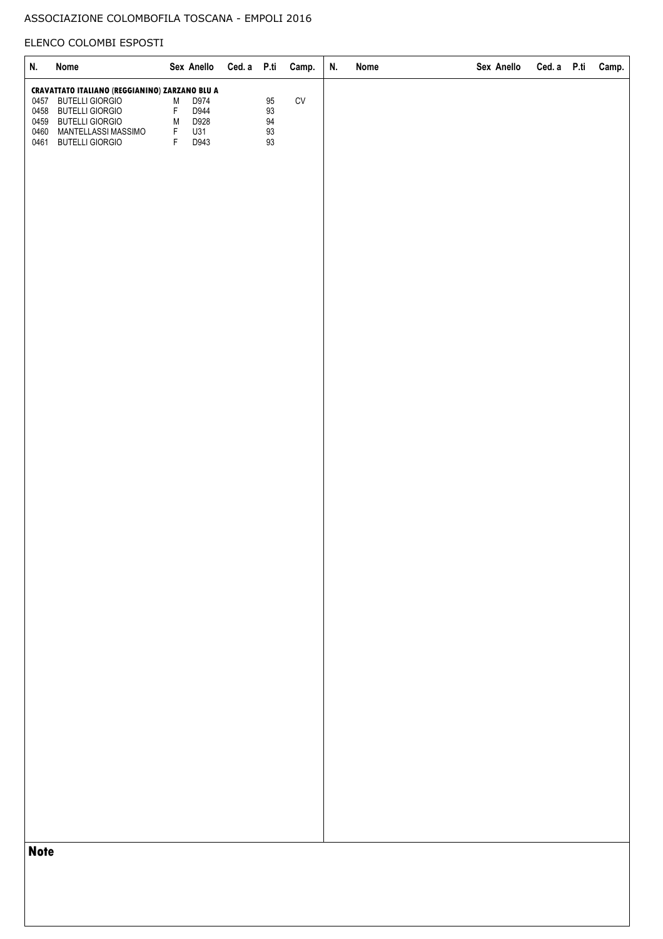## ASSOCIAZIONE COLOMBOFILA TOSCANA - EMPOLI 2016

# ELENCO COLOMBI ESPOSTI

| N.           | Nome                                                         |                                 | Sex Anello   | Ced. a P.ti |                            | Camp.      | N. | Nome | Sex Anello | Ced. a P.ti | Camp. |
|--------------|--------------------------------------------------------------|---------------------------------|--------------|-------------|----------------------------|------------|----|------|------------|-------------|-------|
| 0457         | CRAVATTATO ITALIANO (REGGIANINO) ZARZANO BLU A               |                                 |              |             |                            |            |    |      |            |             |       |
| 0458<br>0459 | <b>BUTELLI GIORGIO</b><br>BUTELLI GIORGIO<br>BUTELLI GIORGIO | ${\sf M}$<br>$\mathsf F$        | D974<br>D944 |             | 95<br>93<br>94<br>93<br>93 | ${\rm CV}$ |    |      |            |             |       |
|              | MANTELLASSI MASSIMO                                          | ${\sf M}$                       | D928<br>U31  |             |                            |            |    |      |            |             |       |
|              | <b>BUTELLI GIORGIO</b>                                       | $\frac{\mathsf{F}}{\mathsf{F}}$ | D943         |             |                            |            |    |      |            |             |       |
|              |                                                              |                                 |              |             |                            |            |    |      |            |             |       |
|              |                                                              |                                 |              |             |                            |            |    |      |            |             |       |
|              |                                                              |                                 |              |             |                            |            |    |      |            |             |       |
|              |                                                              |                                 |              |             |                            |            |    |      |            |             |       |
|              |                                                              |                                 |              |             |                            |            |    |      |            |             |       |
|              |                                                              |                                 |              |             |                            |            |    |      |            |             |       |
|              |                                                              |                                 |              |             |                            |            |    |      |            |             |       |
|              |                                                              |                                 |              |             |                            |            |    |      |            |             |       |
|              |                                                              |                                 |              |             |                            |            |    |      |            |             |       |
|              |                                                              |                                 |              |             |                            |            |    |      |            |             |       |
|              |                                                              |                                 |              |             |                            |            |    |      |            |             |       |
|              |                                                              |                                 |              |             |                            |            |    |      |            |             |       |
|              |                                                              |                                 |              |             |                            |            |    |      |            |             |       |
|              |                                                              |                                 |              |             |                            |            |    |      |            |             |       |
|              |                                                              |                                 |              |             |                            |            |    |      |            |             |       |
|              |                                                              |                                 |              |             |                            |            |    |      |            |             |       |
|              |                                                              |                                 |              |             |                            |            |    |      |            |             |       |
|              |                                                              |                                 |              |             |                            |            |    |      |            |             |       |
|              |                                                              |                                 |              |             |                            |            |    |      |            |             |       |
|              |                                                              |                                 |              |             |                            |            |    |      |            |             |       |
|              |                                                              |                                 |              |             |                            |            |    |      |            |             |       |
|              |                                                              |                                 |              |             |                            |            |    |      |            |             |       |
|              |                                                              |                                 |              |             |                            |            |    |      |            |             |       |
|              |                                                              |                                 |              |             |                            |            |    |      |            |             |       |
|              |                                                              |                                 |              |             |                            |            |    |      |            |             |       |
|              |                                                              |                                 |              |             |                            |            |    |      |            |             |       |
|              |                                                              |                                 |              |             |                            |            |    |      |            |             |       |
|              |                                                              |                                 |              |             |                            |            |    |      |            |             |       |
|              |                                                              |                                 |              |             |                            |            |    |      |            |             |       |
|              |                                                              |                                 |              |             |                            |            |    |      |            |             |       |
|              |                                                              |                                 |              |             |                            |            |    |      |            |             |       |
|              |                                                              |                                 |              |             |                            |            |    |      |            |             |       |
|              |                                                              |                                 |              |             |                            |            |    |      |            |             |       |
|              |                                                              |                                 |              |             |                            |            |    |      |            |             |       |
|              |                                                              |                                 |              |             |                            |            |    |      |            |             |       |
|              |                                                              |                                 |              |             |                            |            |    |      |            |             |       |
|              |                                                              |                                 |              |             |                            |            |    |      |            |             |       |
|              |                                                              |                                 |              |             |                            |            |    |      |            |             |       |
|              |                                                              |                                 |              |             |                            |            |    |      |            |             |       |
|              |                                                              |                                 |              |             |                            |            |    |      |            |             |       |
|              |                                                              |                                 |              |             |                            |            |    |      |            |             |       |
| <b>Note</b>  |                                                              |                                 |              |             |                            |            |    |      |            |             |       |
|              |                                                              |                                 |              |             |                            |            |    |      |            |             |       |
|              |                                                              |                                 |              |             |                            |            |    |      |            |             |       |
|              |                                                              |                                 |              |             |                            |            |    |      |            |             |       |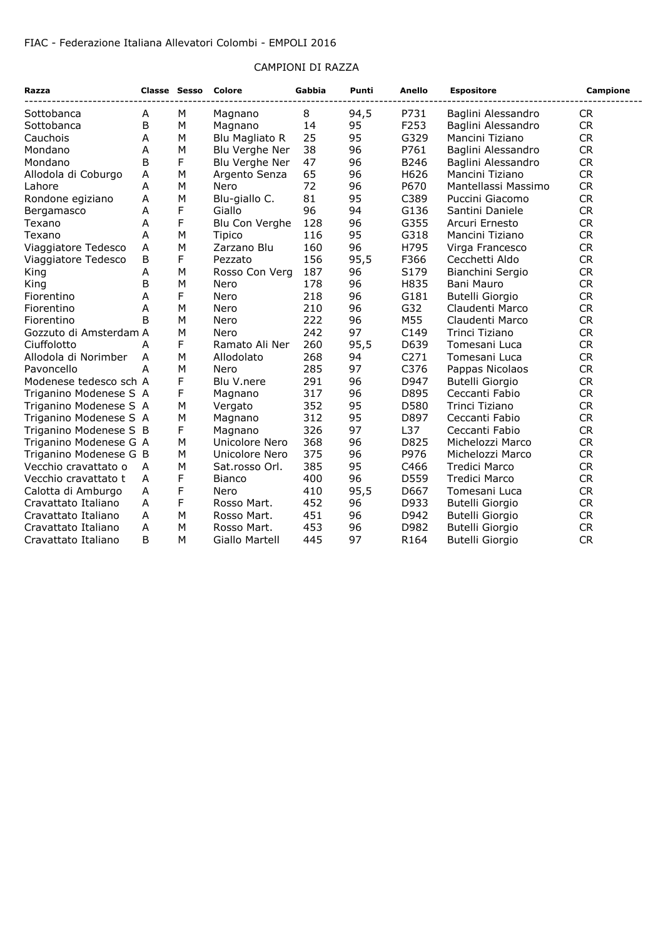#### FIAC - Federazione Italiana Allevatori Colombi - EMPOLI 2016

### CAMPIONI DI RAZZA

| Razza                                      | <b>Classe Sesso</b> |   | Colore                     | Gabbia     | Punti    | Anello       | <b>Espositore</b>                                            | Campione                            |
|--------------------------------------------|---------------------|---|----------------------------|------------|----------|--------------|--------------------------------------------------------------|-------------------------------------|
| Sottobanca                                 | Α                   | м | Magnano                    | 8          | 94,5     | P731         | Baglini Alessandro                                           | <b>CR</b>                           |
| Sottobanca                                 | B                   | M | Magnano                    | 14         | 95       | F253         | Baglini Alessandro                                           | <b>CR</b>                           |
| Cauchois                                   | A                   | M | Blu Magliato R             | 25         | 95       | G329         | Mancini Tiziano                                              | <b>CR</b>                           |
| Mondano                                    | Α                   | M | Blu Verghe Ner             | 38         | 96       | P761         | Baglini Alessandro                                           | <b>CR</b>                           |
| Mondano                                    | B                   | F | Blu Verghe Ner             | 47         | 96       | B246         | Baglini Alessandro                                           | <b>CR</b>                           |
| Allodola di Coburgo                        | A                   | M | Argento Senza              | 65         | 96       | H626         | Mancini Tiziano                                              | <b>CR</b>                           |
| Lahore                                     | A                   | M | Nero                       | 72         | 96       | P670         | Mantellassi Massimo                                          | <b>CR</b>                           |
| Rondone egiziano                           | А                   | M | Blu-giallo C.              | 81         | 95       | C389         | Puccini Giacomo                                              | CR                                  |
| Bergamasco                                 | A                   | F | Giallo                     | 96         | 94       | G136         | Santini Daniele                                              | CR                                  |
| Texano                                     | A                   | F | Blu Con Verghe             | 128        | 96       | G355         | Arcuri Ernesto                                               | <b>CR</b>                           |
| Texano                                     | Α                   | M | Tipico                     | 116        | 95       | G318         | Mancini Tiziano                                              | <b>CR</b>                           |
| Viaggiatore Tedesco                        | А                   | M | Zarzano Blu                | 160        | 96       | H795         | Virga Francesco                                              | <b>CR</b>                           |
| Viaggiatore Tedesco                        | B                   | F | Pezzato                    | 156        | 95,5     | F366         | Cecchetti Aldo                                               | <b>CR</b>                           |
| King                                       | Α                   | M | Rosso Con Verg             | 187        | 96       | S179         | Bianchini Sergio                                             | <b>CR</b>                           |
| King                                       | B                   | M | Nero                       | 178        | 96       | H835         | Bani Mauro                                                   | <b>CR</b>                           |
| Fiorentino                                 | A                   | F | Nero                       | 218        | 96       | G181         | Butelli Giorgio                                              | <b>CR</b>                           |
| Fiorentino                                 | A                   | M | Nero                       | 210        | 96       | G32          | Claudenti Marco                                              | <b>CR</b>                           |
| Fiorentino                                 | B                   | M | Nero                       | 222        | 96       | M55          | Claudenti Marco                                              | <b>CR</b>                           |
| Gozzuto di Amsterdam A                     |                     | M | Nero                       | 242        | 97       | C149         | Trinci Tiziano                                               | <b>CR</b>                           |
| Ciuffolotto                                | A                   | F | Ramato Ali Ner             | 260        | 95,5     | D639         | Tomesani Luca                                                | CR                                  |
| Allodola di Norimber                       | A                   | M | Allodolato                 | 268        | 94       | C271         | Tomesani Luca                                                | <b>CR</b>                           |
| Pavoncello                                 | А                   | M | Nero                       | 285        | 97       | C376         | Pappas Nicolaos                                              | <b>CR</b>                           |
| Modenese tedesco sch A                     |                     | F | Blu V.nere                 | 291        | 96       | D947         | <b>Butelli Giorgio</b>                                       | <b>CR</b>                           |
| Triganino Modenese S A                     |                     | F | Magnano                    | 317        | 96       | D895         | Ceccanti Fabio                                               | <b>CR</b>                           |
| Triganino Modenese S A                     |                     | M | Vergato                    | 352        | 95       | D580         | Trinci Tiziano                                               | CR                                  |
| Triganino Modenese S A                     |                     | M | Magnano                    | 312        | 95       | D897         | Ceccanti Fabio                                               | CR                                  |
| Triganino Modenese S B                     |                     | F | Magnano                    | 326        | 97       | L37          | Ceccanti Fabio                                               | CR                                  |
| Triganino Modenese G A                     |                     | M | Unicolore Nero             | 368        | 96       | D825         | Michelozzi Marco                                             | <b>CR</b>                           |
| Triganino Modenese G B                     |                     | M | Unicolore Nero             | 375        | 96       | P976         | Michelozzi Marco                                             | CR                                  |
| Vecchio cravattato o                       | A                   | M | Sat.rosso Orl.             | 385        | 95       | C466         | <b>Tredici Marco</b>                                         | <b>CR</b>                           |
| Vecchio cravattato t                       | A                   | F | <b>Bianco</b>              | 400        | 96       | D559         | Tredici Marco                                                | <b>CR</b>                           |
| Calotta di Amburgo                         | A                   | F | Nero                       | 410        | 95,5     | D667         | Tomesani Luca                                                | <b>CR</b>                           |
| Cravattato Italiano                        | A                   | F | Rosso Mart.                | 452        | 96       | D933         | Butelli Giorgio                                              | <b>CR</b>                           |
|                                            | A                   | M |                            |            | 96       | D942         |                                                              |                                     |
|                                            | A                   | M |                            |            |          |              |                                                              |                                     |
| Cravattato Italiano                        | B                   | M | Giallo Martell             | 445        |          |              |                                                              |                                     |
| Cravattato Italiano<br>Cravattato Italiano |                     |   | Rosso Mart.<br>Rosso Mart. | 451<br>453 | 96<br>97 | D982<br>R164 | Butelli Giorgio<br><b>Butelli Giorgio</b><br>Butelli Giorgio | <b>CR</b><br><b>CR</b><br><b>CR</b> |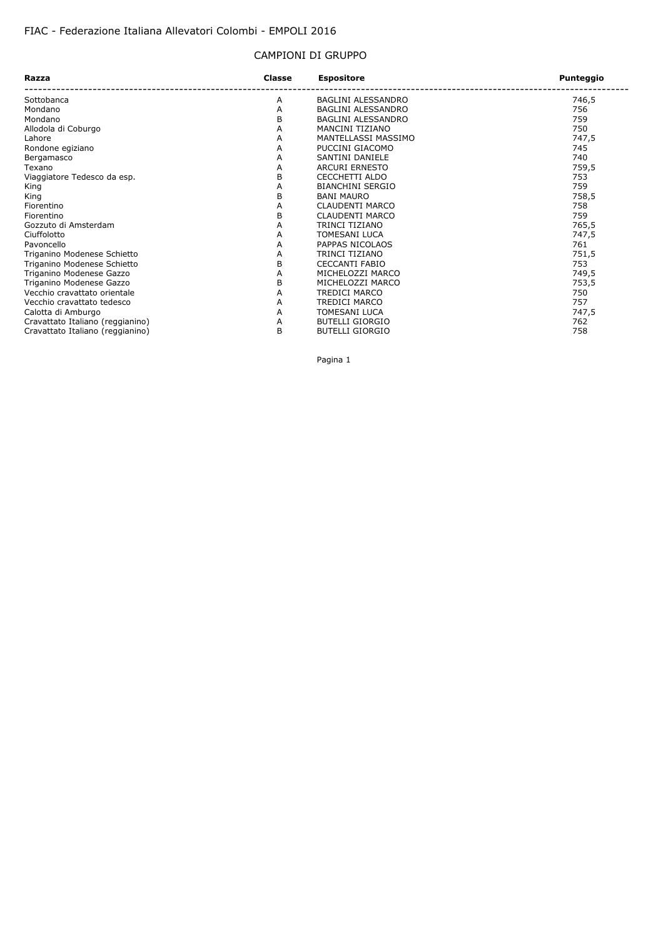#### CAMPIONI DI GRUPPO

| Razza                            | Classe | <b>Espositore</b>         | Punteggio |  |
|----------------------------------|--------|---------------------------|-----------|--|
| Sottobanca                       | A      | BAGLINI ALESSANDRO        | 746,5     |  |
| Mondano                          | A      | <b>BAGLINI ALESSANDRO</b> | 756       |  |
| Mondano                          | B      | BAGLINI ALESSANDRO        | 759       |  |
| Allodola di Coburgo              | A      | MANCINI TIZIANO           | 750       |  |
| Lahore                           | Α      | MANTELLASSI MASSIMO       | 747,5     |  |
| Rondone egiziano                 | A      | PUCCINI GIACOMO           | 745       |  |
| Bergamasco                       | Α      | SANTINI DANIELE           | 740       |  |
| Texano                           | A      | <b>ARCURI ERNESTO</b>     | 759,5     |  |
| Viaggiatore Tedesco da esp.      | B      | CECCHETTI ALDO            | 753       |  |
| King                             | A      | <b>BIANCHINI SERGIO</b>   | 759       |  |
| King                             | B      | <b>BANI MAURO</b>         | 758,5     |  |
| Fiorentino                       | Α      | <b>CLAUDENTI MARCO</b>    | 758       |  |
| Fiorentino                       | B      | <b>CLAUDENTI MARCO</b>    | 759       |  |
| Gozzuto di Amsterdam             | A      | TRINCI TIZIANO            | 765,5     |  |
| Ciuffolotto                      | A      | <b>TOMESANI LUCA</b>      | 747,5     |  |
| Pavoncello                       | Α      | PAPPAS NICOLAOS           | 761       |  |
| Triganino Modenese Schietto      | Α      | TRINCI TIZIANO            | 751,5     |  |
| Triganino Modenese Schietto      | B      | <b>CECCANTI FABIO</b>     | 753       |  |
| Triganino Modenese Gazzo         | Α      | MICHELOZZI MARCO          | 749,5     |  |
| Triganino Modenese Gazzo         | B      | MICHELOZZI MARCO          | 753,5     |  |
| Vecchio cravattato orientale     | A      | <b>TREDICI MARCO</b>      | 750       |  |
| Vecchio cravattato tedesco       | A      | TREDICI MARCO             | 757       |  |
| Calotta di Amburgo               | Α      | <b>TOMESANI LUCA</b>      | 747,5     |  |
| Cravattato Italiano (reggianino) | Α      | <b>BUTELLI GIORGIO</b>    | 762       |  |
| Cravattato Italiano (reggianino) | B      | <b>BUTELLI GIORGIO</b>    | 758       |  |

Pagina 1